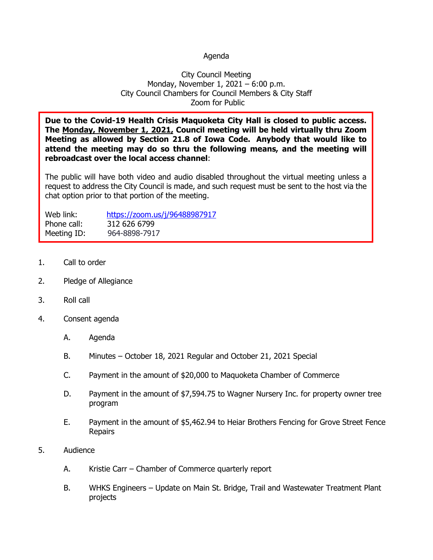## Agenda

## City Council Meeting Monday, November 1, 2021 – 6:00 p.m. City Council Chambers for Council Members & City Staff Zoom for Public

**Due to the Covid-19 Health Crisis Maquoketa City Hall is closed to public access. The Monday, November 1, 2021, Council meeting will be held virtually thru Zoom Meeting as allowed by Section 21.8 of Iowa Code. Anybody that would like to attend the meeting may do so thru the following means, and the meeting will rebroadcast over the local access channel**:

The public will have both video and audio disabled throughout the virtual meeting unless a request to address the City Council is made, and such request must be sent to the host via the chat option prior to that portion of the meeting.

| Web link:   | https://zoom.us/j/96488987917 |
|-------------|-------------------------------|
| Phone call: | 312 626 6799                  |
| Meeting ID: | 964-8898-7917                 |

- 1. Call to order
- 2. Pledge of Allegiance
- 3. Roll call
- 4. Consent agenda
	- A. Agenda
	- B. Minutes October 18, 2021 Regular and October 21, 2021 Special
	- C. Payment in the amount of \$20,000 to Maquoketa Chamber of Commerce
	- D. Payment in the amount of \$7,594.75 to Wagner Nursery Inc. for property owner tree program
	- E. Payment in the amount of \$5,462.94 to Heiar Brothers Fencing for Grove Street Fence Repairs
- 5. Audience
	- A. Kristie Carr Chamber of Commerce quarterly report
	- B. WHKS Engineers Update on Main St. Bridge, Trail and Wastewater Treatment Plant projects